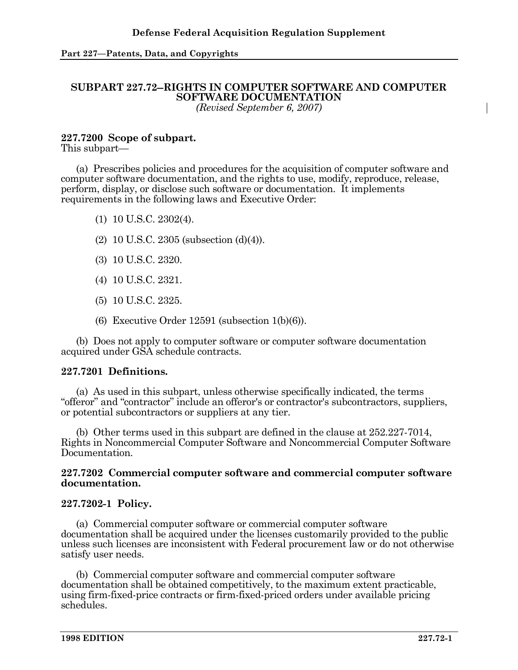# **SUBPART 227.72--RIGHTS IN COMPUTER SOFTWARE AND COMPUTER SOFTWARE DOCUMENTATION**

*(Revised September 6, 2007)* 

# **227.7200 Scope of subpart.**

This subpart—

 (a) Prescribes policies and procedures for the acquisition of computer software and computer software documentation, and the rights to use, modify, reproduce, release, perform, display, or disclose such software or documentation. It implements requirements in the following laws and Executive Order:

- (1) 10 U.S.C. 2302(4).
- (2) 10 U.S.C. 2305 (subsection (d)(4)).
- (3) 10 U.S.C. 2320.
- (4) 10 U.S.C. 2321.
- (5) 10 U.S.C. 2325.
- (6) Executive Order 12591 (subsection 1(b)(6)).

 (b) Does not apply to computer software or computer software documentation acquired under GSA schedule contracts.

#### **227.7201 Definitions.**

 (a) As used in this subpart, unless otherwise specifically indicated, the terms "offeror" and "contractor" include an offeror's or contractor's subcontractors, suppliers, or potential subcontractors or suppliers at any tier.

 (b) Other terms used in this subpart are defined in the clause at 252.227-7014, Rights in Noncommercial Computer Software and Noncommercial Computer Software Documentation.

### **227.7202 Commercial computer software and commercial computer software documentation.**

#### **227.7202-1 Policy.**

 (a) Commercial computer software or commercial computer software documentation shall be acquired under the licenses customarily provided to the public unless such licenses are inconsistent with Federal procurement law or do not otherwise satisfy user needs.

 (b) Commercial computer software and commercial computer software documentation shall be obtained competitively, to the maximum extent practicable, using firm-fixed-price contracts or firm-fixed-priced orders under available pricing schedules.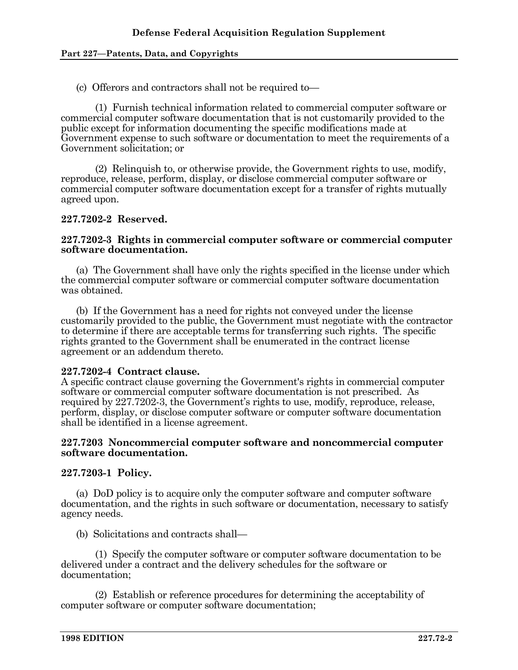(c) Offerors and contractors shall not be required to—

 (1) Furnish technical information related to commercial computer software or commercial computer software documentation that is not customarily provided to the public except for information documenting the specific modifications made at Government expense to such software or documentation to meet the requirements of a Government solicitation; or

 (2) Relinquish to, or otherwise provide, the Government rights to use, modify, reproduce, release, perform, display, or disclose commercial computer software or commercial computer software documentation except for a transfer of rights mutually agreed upon.

# **227.7202-2 Reserved.**

### **227.7202-3 Rights in commercial computer software or commercial computer software documentation.**

 (a) The Government shall have only the rights specified in the license under which the commercial computer software or commercial computer software documentation was obtained.

 (b) If the Government has a need for rights not conveyed under the license customarily provided to the public, the Government must negotiate with the contractor to determine if there are acceptable terms for transferring such rights. The specific rights granted to the Government shall be enumerated in the contract license agreement or an addendum thereto.

#### **227.7202-4 Contract clause.**

A specific contract clause governing the Government's rights in commercial computer software or commercial computer software documentation is not prescribed. As required by 227.7202-3, the Government's rights to use, modify, reproduce, release, perform, display, or disclose computer software or computer software documentation shall be identified in a license agreement.

### **227.7203 Noncommercial computer software and noncommercial computer software documentation.**

# **227.7203-1 Policy.**

 (a) DoD policy is to acquire only the computer software and computer software documentation, and the rights in such software or documentation, necessary to satisfy agency needs.

(b) Solicitations and contracts shall—

 (1) Specify the computer software or computer software documentation to be delivered under a contract and the delivery schedules for the software or documentation;

 (2) Establish or reference procedures for determining the acceptability of computer software or computer software documentation;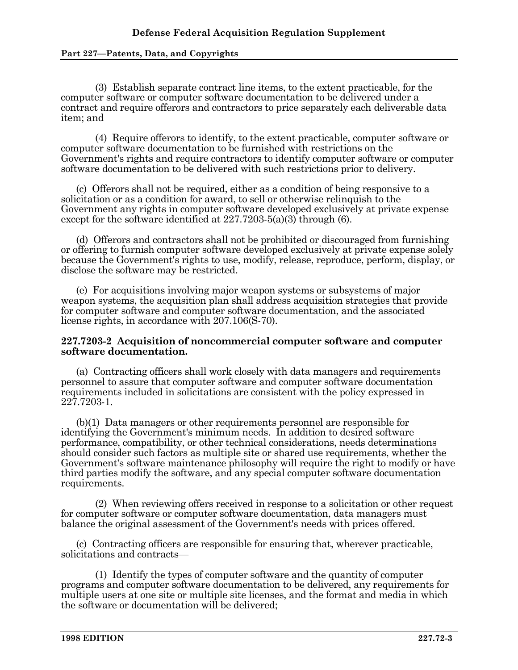(3) Establish separate contract line items, to the extent practicable, for the computer software or computer software documentation to be delivered under a contract and require offerors and contractors to price separately each deliverable data item; and

 (4) Require offerors to identify, to the extent practicable, computer software or computer software documentation to be furnished with restrictions on the Government's rights and require contractors to identify computer software or computer software documentation to be delivered with such restrictions prior to delivery.

 (c) Offerors shall not be required, either as a condition of being responsive to a solicitation or as a condition for award, to sell or otherwise relinquish to the Government any rights in computer software developed exclusively at private expense except for the software identified at 227.7203-5(a)(3) through (6).

 (d) Offerors and contractors shall not be prohibited or discouraged from furnishing or offering to furnish computer software developed exclusively at private expense solely because the Government's rights to use, modify, release, reproduce, perform, display, or disclose the software may be restricted.

 (e) For acquisitions involving major weapon systems or subsystems of major weapon systems, the acquisition plan shall address acquisition strategies that provide for computer software and computer software documentation, and the associated license rights, in accordance with 207.106(S-70).

### **227.7203-2 Acquisition of noncommercial computer software and computer software documentation.**

 (a) Contracting officers shall work closely with data managers and requirements personnel to assure that computer software and computer software documentation requirements included in solicitations are consistent with the policy expressed in 227.7203-1.

 (b)(1) Data managers or other requirements personnel are responsible for identifying the Government's minimum needs. In addition to desired software performance, compatibility, or other technical considerations, needs determinations should consider such factors as multiple site or shared use requirements, whether the Government's software maintenance philosophy will require the right to modify or have third parties modify the software, and any special computer software documentation requirements.

 (2) When reviewing offers received in response to a solicitation or other request for computer software or computer software documentation, data managers must balance the original assessment of the Government's needs with prices offered.

 (c) Contracting officers are responsible for ensuring that, wherever practicable, solicitations and contracts—

 (1) Identify the types of computer software and the quantity of computer programs and computer software documentation to be delivered, any requirements for multiple users at one site or multiple site licenses, and the format and media in which the software or documentation will be delivered;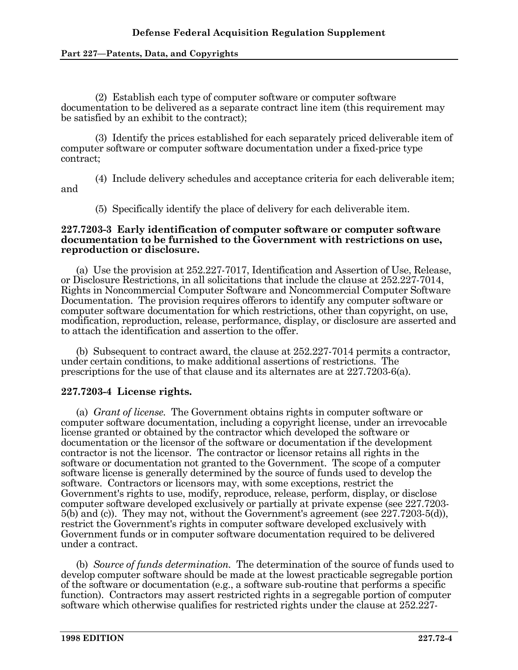(2) Establish each type of computer software or computer software documentation to be delivered as a separate contract line item (this requirement may be satisfied by an exhibit to the contract);

 (3) Identify the prices established for each separately priced deliverable item of computer software or computer software documentation under a fixed-price type contract;

 (4) Include delivery schedules and acceptance criteria for each deliverable item; and

(5) Specifically identify the place of delivery for each deliverable item.

#### **227.7203-3 Early identification of computer software or computer software documentation to be furnished to the Government with restrictions on use, reproduction or disclosure.**

 (a) Use the provision at 252.227-7017, Identification and Assertion of Use, Release, or Disclosure Restrictions, in all solicitations that include the clause at 252.227-7014, Rights in Noncommercial Computer Software and Noncommercial Computer Software Documentation. The provision requires offerors to identify any computer software or computer software documentation for which restrictions, other than copyright, on use, modification, reproduction, release, performance, display, or disclosure are asserted and to attach the identification and assertion to the offer.

 (b) Subsequent to contract award, the clause at 252.227-7014 permits a contractor, under certain conditions, to make additional assertions of restrictions. The prescriptions for the use of that clause and its alternates are at 227.7203-6(a).

#### **227.7203-4 License rights.**

 (a) *Grant of license.* The Government obtains rights in computer software or computer software documentation, including a copyright license, under an irrevocable license granted or obtained by the contractor which developed the software or documentation or the licensor of the software or documentation if the development contractor is not the licensor. The contractor or licensor retains all rights in the software or documentation not granted to the Government. The scope of a computer software license is generally determined by the source of funds used to develop the software. Contractors or licensors may, with some exceptions, restrict the Government's rights to use, modify, reproduce, release, perform, display, or disclose computer software developed exclusively or partially at private expense (see 227.7203- 5(b) and (c)). They may not, without the Government's agreement (see 227.7203-5(d)), restrict the Government's rights in computer software developed exclusively with Government funds or in computer software documentation required to be delivered under a contract.

 (b) *Source of funds determination.* The determination of the source of funds used to develop computer software should be made at the lowest practicable segregable portion of the software or documentation (e.g., a software sub-routine that performs a specific function). Contractors may assert restricted rights in a segregable portion of computer software which otherwise qualifies for restricted rights under the clause at 252.227-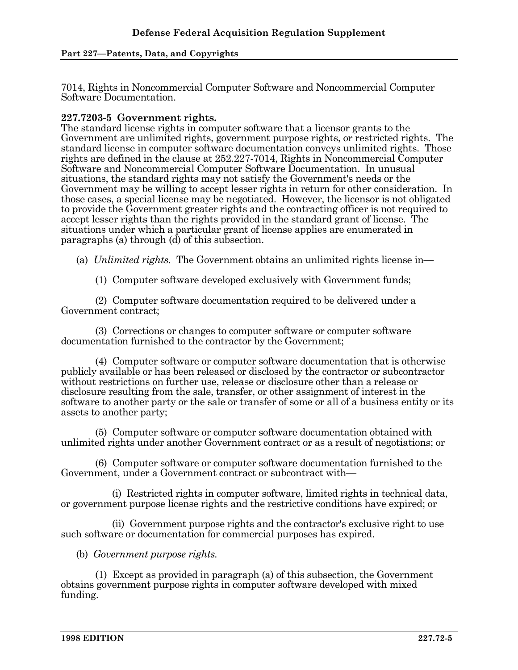7014, Rights in Noncommercial Computer Software and Noncommercial Computer Software Documentation.

# **227.7203-5 Government rights.**

The standard license rights in computer software that a licensor grants to the Government are unlimited rights, government purpose rights, or restricted rights. The standard license in computer software documentation conveys unlimited rights. Those rights are defined in the clause at 252.227-7014, Rights in Noncommercial Computer Software and Noncommercial Computer Software Documentation. In unusual situations, the standard rights may not satisfy the Government's needs or the Government may be willing to accept lesser rights in return for other consideration. In those cases, a special license may be negotiated. However, the licensor is not obligated to provide the Government greater rights and the contracting officer is not required to accept lesser rights than the rights provided in the standard grant of license. The situations under which a particular grant of license applies are enumerated in paragraphs (a) through (d) of this subsection.

(a) *Unlimited rights.* The Government obtains an unlimited rights license in—

(1) Computer software developed exclusively with Government funds;

 (2) Computer software documentation required to be delivered under a Government contract;

 (3) Corrections or changes to computer software or computer software documentation furnished to the contractor by the Government;

 (4) Computer software or computer software documentation that is otherwise publicly available or has been released or disclosed by the contractor or subcontractor without restrictions on further use, release or disclosure other than a release or disclosure resulting from the sale, transfer, or other assignment of interest in the software to another party or the sale or transfer of some or all of a business entity or its assets to another party;

 (5) Computer software or computer software documentation obtained with unlimited rights under another Government contract or as a result of negotiations; or

 (6) Computer software or computer software documentation furnished to the Government, under a Government contract or subcontract with—

 (i) Restricted rights in computer software, limited rights in technical data, or government purpose license rights and the restrictive conditions have expired; or

 (ii) Government purpose rights and the contractor's exclusive right to use such software or documentation for commercial purposes has expired.

# (b) *Government purpose rights.*

 (1) Except as provided in paragraph (a) of this subsection, the Government obtains government purpose rights in computer software developed with mixed funding.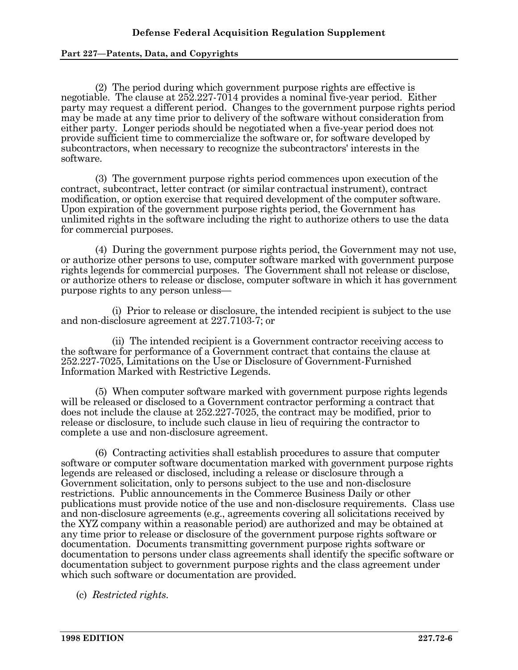(2) The period during which government purpose rights are effective is negotiable. The clause at 252.227-7014 provides a nominal five-year period. Either party may request a different period. Changes to the government purpose rights period may be made at any time prior to delivery of the software without consideration from either party. Longer periods should be negotiated when a five-year period does not provide sufficient time to commercialize the software or, for software developed by subcontractors, when necessary to recognize the subcontractors' interests in the software.

 (3) The government purpose rights period commences upon execution of the contract, subcontract, letter contract (or similar contractual instrument), contract modification, or option exercise that required development of the computer software. Upon expiration of the government purpose rights period, the Government has unlimited rights in the software including the right to authorize others to use the data for commercial purposes.

 (4) During the government purpose rights period, the Government may not use, or authorize other persons to use, computer software marked with government purpose rights legends for commercial purposes. The Government shall not release or disclose, or authorize others to release or disclose, computer software in which it has government purpose rights to any person unless—

 (i) Prior to release or disclosure, the intended recipient is subject to the use and non-disclosure agreement at 227.7103-7; or

 (ii) The intended recipient is a Government contractor receiving access to the software for performance of a Government contract that contains the clause at 252.227-7025, Limitations on the Use or Disclosure of Government-Furnished Information Marked with Restrictive Legends.

 (5) When computer software marked with government purpose rights legends will be released or disclosed to a Government contractor performing a contract that does not include the clause at 252.227-7025, the contract may be modified, prior to release or disclosure, to include such clause in lieu of requiring the contractor to complete a use and non-disclosure agreement.

 (6) Contracting activities shall establish procedures to assure that computer software or computer software documentation marked with government purpose rights legends are released or disclosed, including a release or disclosure through a Government solicitation, only to persons subject to the use and non-disclosure restrictions. Public announcements in the Commerce Business Daily or other publications must provide notice of the use and non-disclosure requirements. Class use and non-disclosure agreements (e.g., agreements covering all solicitations received by the XYZ company within a reasonable period) are authorized and may be obtained at any time prior to release or disclosure of the government purpose rights software or documentation. Documents transmitting government purpose rights software or documentation to persons under class agreements shall identify the specific software or documentation subject to government purpose rights and the class agreement under which such software or documentation are provided.

(c) *Restricted rights*.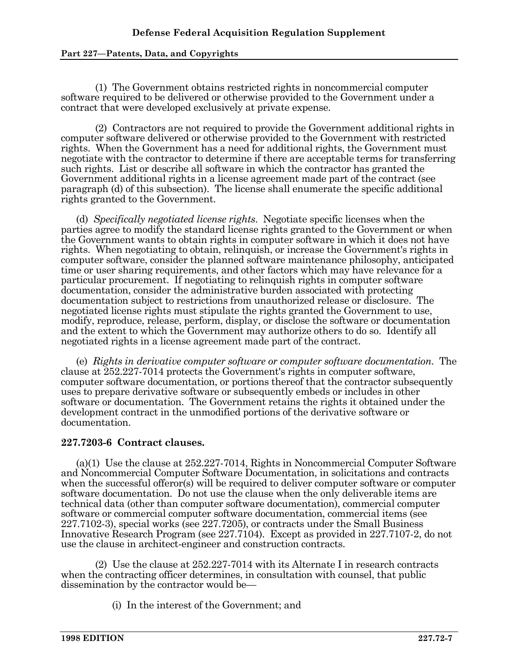# **Defense Federal Acquisition Regulation Supplement**

#### **Part 227—Patents, Data, and Copyrights**

 (1) The Government obtains restricted rights in noncommercial computer software required to be delivered or otherwise provided to the Government under a contract that were developed exclusively at private expense.

 (2) Contractors are not required to provide the Government additional rights in computer software delivered or otherwise provided to the Government with restricted rights. When the Government has a need for additional rights, the Government must negotiate with the contractor to determine if there are acceptable terms for transferring such rights. List or describe all software in which the contractor has granted the Government additional rights in a license agreement made part of the contract (see paragraph (d) of this subsection). The license shall enumerate the specific additional rights granted to the Government.

 (d) *Specifically negotiated license rights*. Negotiate specific licenses when the parties agree to modify the standard license rights granted to the Government or when the Government wants to obtain rights in computer software in which it does not have rights. When negotiating to obtain, relinquish, or increase the Government's rights in computer software, consider the planned software maintenance philosophy, anticipated time or user sharing requirements, and other factors which may have relevance for a particular procurement. If negotiating to relinquish rights in computer software documentation, consider the administrative burden associated with protecting documentation subject to restrictions from unauthorized release or disclosure. The negotiated license rights must stipulate the rights granted the Government to use, modify, reproduce, release, perform, display, or disclose the software or documentation and the extent to which the Government may authorize others to do so. Identify all negotiated rights in a license agreement made part of the contract.

 (e) *Rights in derivative computer software or computer software documentation*. The clause at 252.227-7014 protects the Government's rights in computer software, computer software documentation, or portions thereof that the contractor subsequently uses to prepare derivative software or subsequently embeds or includes in other software or documentation. The Government retains the rights it obtained under the development contract in the unmodified portions of the derivative software or documentation.

#### **227.7203-6 Contract clauses.**

 (a)(1) Use the clause at 252.227-7014, Rights in Noncommercial Computer Software and Noncommercial Computer Software Documentation, in solicitations and contracts when the successful offeror(s) will be required to deliver computer software or computer software documentation. Do not use the clause when the only deliverable items are technical data (other than computer software documentation), commercial computer software or commercial computer software documentation, commercial items (see 227.7102-3), special works (see 227.7205), or contracts under the Small Business Innovative Research Program (see 227.7104). Except as provided in 227.7107-2, do not use the clause in architect-engineer and construction contracts.

 (2) Use the clause at 252.227-7014 with its Alternate I in research contracts when the contracting officer determines, in consultation with counsel, that public dissemination by the contractor would be—

(i) In the interest of the Government; and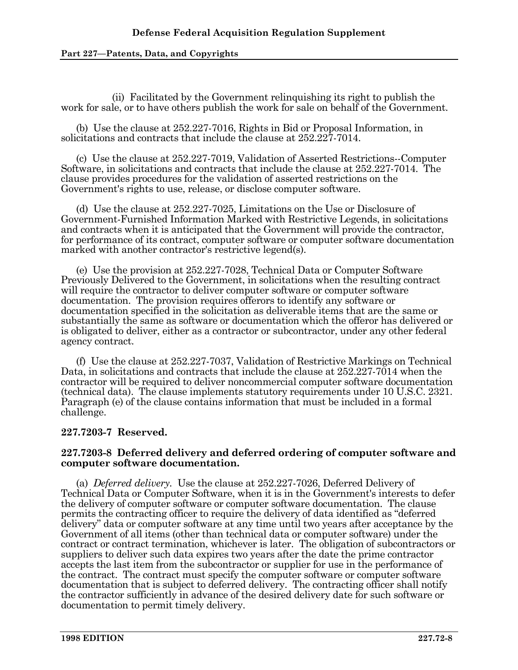(ii) Facilitated by the Government relinquishing its right to publish the work for sale, or to have others publish the work for sale on behalf of the Government.

 (b) Use the clause at 252.227-7016, Rights in Bid or Proposal Information, in solicitations and contracts that include the clause at 252.227-7014.

 (c) Use the clause at 252.227-7019, Validation of Asserted Restrictions--Computer Software, in solicitations and contracts that include the clause at 252.227-7014. The clause provides procedures for the validation of asserted restrictions on the Government's rights to use, release, or disclose computer software.

 (d) Use the clause at 252.227-7025, Limitations on the Use or Disclosure of Government-Furnished Information Marked with Restrictive Legends, in solicitations and contracts when it is anticipated that the Government will provide the contractor, for performance of its contract, computer software or computer software documentation marked with another contractor's restrictive legend(s).

 (e) Use the provision at 252.227-7028, Technical Data or Computer Software Previously Delivered to the Government, in solicitations when the resulting contract will require the contractor to deliver computer software or computer software documentation. The provision requires offerors to identify any software or documentation specified in the solicitation as deliverable items that are the same or substantially the same as software or documentation which the offeror has delivered or is obligated to deliver, either as a contractor or subcontractor, under any other federal agency contract.

 (f) Use the clause at 252.227-7037, Validation of Restrictive Markings on Technical Data, in solicitations and contracts that include the clause at 252.227-7014 when the contractor will be required to deliver noncommercial computer software documentation (technical data). The clause implements statutory requirements under 10 U.S.C. 2321. Paragraph (e) of the clause contains information that must be included in a formal challenge.

# **227.7203-7 Reserved.**

# **227.7203-8 Deferred delivery and deferred ordering of computer software and computer software documentation.**

 (a) *Deferred delivery.* Use the clause at 252.227-7026, Deferred Delivery of Technical Data or Computer Software, when it is in the Government's interests to defer the delivery of computer software or computer software documentation. The clause permits the contracting officer to require the delivery of data identified as "deferred delivery" data or computer software at any time until two years after acceptance by the Government of all items (other than technical data or computer software) under the contract or contract termination, whichever is later. The obligation of subcontractors or suppliers to deliver such data expires two years after the date the prime contractor accepts the last item from the subcontractor or supplier for use in the performance of the contract. The contract must specify the computer software or computer software documentation that is subject to deferred delivery. The contracting officer shall notify the contractor sufficiently in advance of the desired delivery date for such software or documentation to permit timely delivery.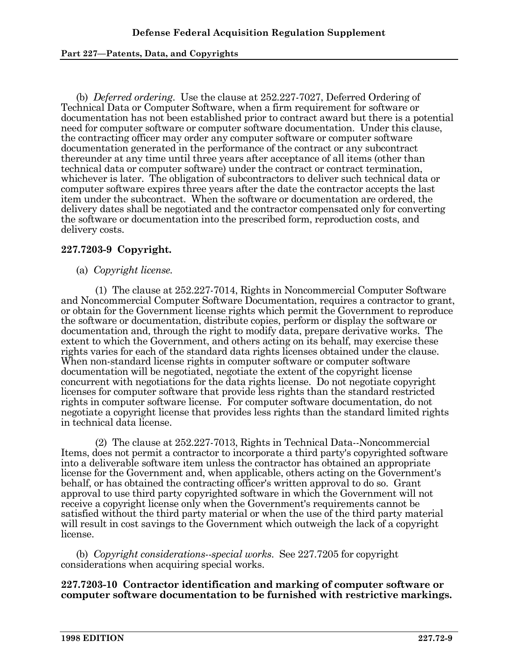(b) *Deferred ordering*. Use the clause at 252.227-7027, Deferred Ordering of Technical Data or Computer Software, when a firm requirement for software or documentation has not been established prior to contract award but there is a potential need for computer software or computer software documentation. Under this clause, the contracting officer may order any computer software or computer software documentation generated in the performance of the contract or any subcontract thereunder at any time until three years after acceptance of all items (other than technical data or computer software) under the contract or contract termination, whichever is later. The obligation of subcontractors to deliver such technical data or computer software expires three years after the date the contractor accepts the last item under the subcontract. When the software or documentation are ordered, the delivery dates shall be negotiated and the contractor compensated only for converting the software or documentation into the prescribed form, reproduction costs, and delivery costs.

# **227.7203-9 Copyright.**

#### (a) *Copyright license.*

 (1) The clause at 252.227-7014, Rights in Noncommercial Computer Software and Noncommercial Computer Software Documentation, requires a contractor to grant, or obtain for the Government license rights which permit the Government to reproduce the software or documentation, distribute copies, perform or display the software or documentation and, through the right to modify data, prepare derivative works. The extent to which the Government, and others acting on its behalf, may exercise these rights varies for each of the standard data rights licenses obtained under the clause. When non-standard license rights in computer software or computer software documentation will be negotiated, negotiate the extent of the copyright license concurrent with negotiations for the data rights license. Do not negotiate copyright licenses for computer software that provide less rights than the standard restricted rights in computer software license. For computer software documentation, do not negotiate a copyright license that provides less rights than the standard limited rights in technical data license.

 (2) The clause at 252.227-7013, Rights in Technical Data--Noncommercial Items, does not permit a contractor to incorporate a third party's copyrighted software into a deliverable software item unless the contractor has obtained an appropriate license for the Government and, when applicable, others acting on the Government's behalf, or has obtained the contracting officer's written approval to do so. Grant approval to use third party copyrighted software in which the Government will not receive a copyright license only when the Government's requirements cannot be satisfied without the third party material or when the use of the third party material will result in cost savings to the Government which outweigh the lack of a copyright license.

(b) *Copyright considerations--special works*. See 227.7205 for copyright considerations when acquiring special works.

**227.7203-10 Contractor identification and marking of computer software or computer software documentation to be furnished with restrictive markings.**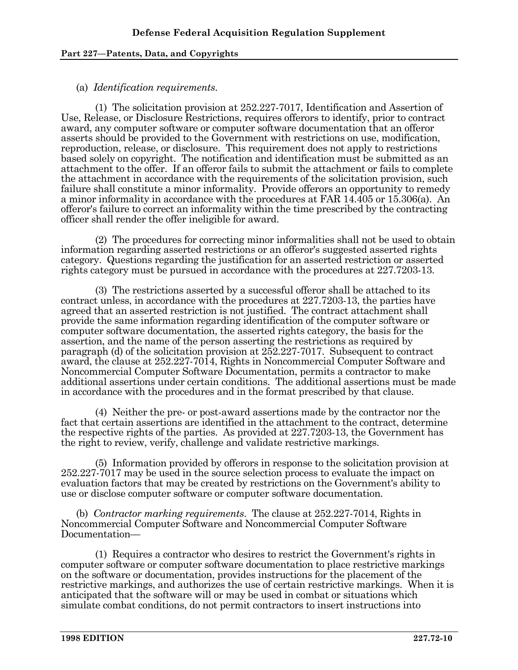# (a) *Identification requirements*.

 (1) The solicitation provision at 252.227-7017, Identification and Assertion of Use, Release, or Disclosure Restrictions, requires offerors to identify, prior to contract award, any computer software or computer software documentation that an offeror asserts should be provided to the Government with restrictions on use, modification, reproduction, release, or disclosure. This requirement does not apply to restrictions based solely on copyright. The notification and identification must be submitted as an attachment to the offer. If an offeror fails to submit the attachment or fails to complete the attachment in accordance with the requirements of the solicitation provision, such failure shall constitute a minor informality. Provide offerors an opportunity to remedy a minor informality in accordance with the procedures at FAR 14.405 or 15.306(a). An offeror's failure to correct an informality within the time prescribed by the contracting officer shall render the offer ineligible for award.

 (2) The procedures for correcting minor informalities shall not be used to obtain information regarding asserted restrictions or an offeror's suggested asserted rights category. Questions regarding the justification for an asserted restriction or asserted rights category must be pursued in accordance with the procedures at 227.7203-13.

 (3) The restrictions asserted by a successful offeror shall be attached to its contract unless, in accordance with the procedures at 227.7203-13, the parties have agreed that an asserted restriction is not justified. The contract attachment shall provide the same information regarding identification of the computer software or computer software documentation, the asserted rights category, the basis for the assertion, and the name of the person asserting the restrictions as required by paragraph (d) of the solicitation provision at 252.227-7017. Subsequent to contract award, the clause at 252.227-7014, Rights in Noncommercial Computer Software and Noncommercial Computer Software Documentation, permits a contractor to make additional assertions under certain conditions. The additional assertions must be made in accordance with the procedures and in the format prescribed by that clause.

 (4) Neither the pre- or post-award assertions made by the contractor nor the fact that certain assertions are identified in the attachment to the contract, determine the respective rights of the parties. As provided at 227.7203-13, the Government has the right to review, verify, challenge and validate restrictive markings.

 (5) Information provided by offerors in response to the solicitation provision at 252.227-7017 may be used in the source selection process to evaluate the impact on evaluation factors that may be created by restrictions on the Government's ability to use or disclose computer software or computer software documentation.

 (b) *Contractor marking requirements*. The clause at 252.227-7014, Rights in Noncommercial Computer Software and Noncommercial Computer Software Documentation—

 (1) Requires a contractor who desires to restrict the Government's rights in computer software or computer software documentation to place restrictive markings on the software or documentation, provides instructions for the placement of the restrictive markings, and authorizes the use of certain restrictive markings. When it is anticipated that the software will or may be used in combat or situations which simulate combat conditions, do not permit contractors to insert instructions into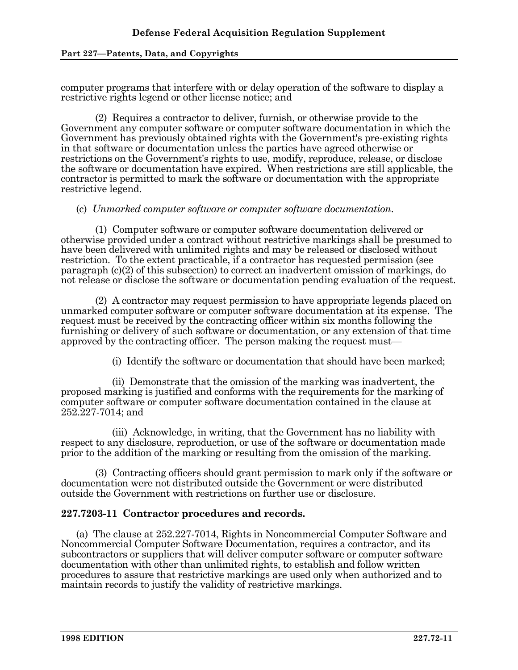computer programs that interfere with or delay operation of the software to display a restrictive rights legend or other license notice; and

 (2) Requires a contractor to deliver, furnish, or otherwise provide to the Government any computer software or computer software documentation in which the Government has previously obtained rights with the Government's pre-existing rights in that software or documentation unless the parties have agreed otherwise or restrictions on the Government's rights to use, modify, reproduce, release, or disclose the software or documentation have expired. When restrictions are still applicable, the contractor is permitted to mark the software or documentation with the appropriate restrictive legend.

### (c) *Unmarked computer software or computer software documentation*.

 (1) Computer software or computer software documentation delivered or otherwise provided under a contract without restrictive markings shall be presumed to have been delivered with unlimited rights and may be released or disclosed without restriction. To the extent practicable, if a contractor has requested permission (see paragraph (c)(2) of this subsection) to correct an inadvertent omission of markings, do not release or disclose the software or documentation pending evaluation of the request.

 (2) A contractor may request permission to have appropriate legends placed on unmarked computer software or computer software documentation at its expense. The request must be received by the contracting officer within six months following the furnishing or delivery of such software or documentation, or any extension of that time approved by the contracting officer. The person making the request must—

(i) Identify the software or documentation that should have been marked;

 (ii) Demonstrate that the omission of the marking was inadvertent, the proposed marking is justified and conforms with the requirements for the marking of computer software or computer software documentation contained in the clause at 252.227-7014; and

 (iii) Acknowledge, in writing, that the Government has no liability with respect to any disclosure, reproduction, or use of the software or documentation made prior to the addition of the marking or resulting from the omission of the marking.

 (3) Contracting officers should grant permission to mark only if the software or documentation were not distributed outside the Government or were distributed outside the Government with restrictions on further use or disclosure.

# **227.7203-11 Contractor procedures and records.**

 (a) The clause at 252.227-7014, Rights in Noncommercial Computer Software and Noncommercial Computer Software Documentation, requires a contractor, and its subcontractors or suppliers that will deliver computer software or computer software documentation with other than unlimited rights, to establish and follow written procedures to assure that restrictive markings are used only when authorized and to maintain records to justify the validity of restrictive markings.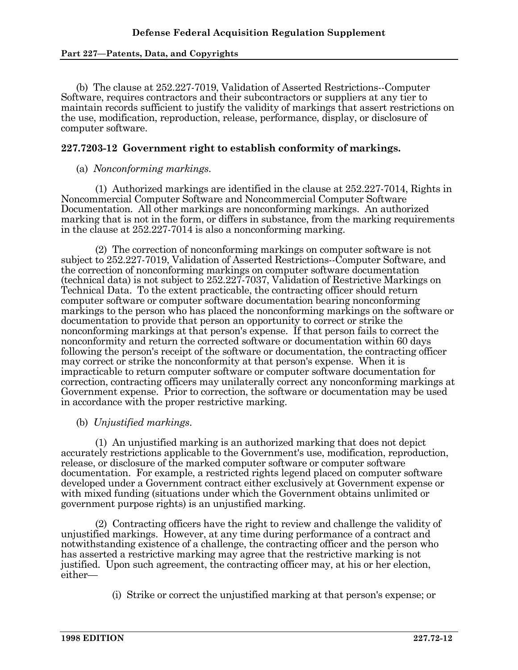(b) The clause at 252.227-7019, Validation of Asserted Restrictions--Computer Software, requires contractors and their subcontractors or suppliers at any tier to maintain records sufficient to justify the validity of markings that assert restrictions on the use, modification, reproduction, release, performance, display, or disclosure of computer software.

# **227.7203-12 Government right to establish conformity of markings.**

# (a) *Nonconforming markings*.

 (1) Authorized markings are identified in the clause at 252.227-7014, Rights in Noncommercial Computer Software and Noncommercial Computer Software Documentation. All other markings are nonconforming markings. An authorized marking that is not in the form, or differs in substance, from the marking requirements in the clause at 252.227-7014 is also a nonconforming marking.

 (2) The correction of nonconforming markings on computer software is not subject to 252.227-7019, Validation of Asserted Restrictions--Computer Software, and the correction of nonconforming markings on computer software documentation (technical data) is not subject to 252.227-7037, Validation of Restrictive Markings on Technical Data. To the extent practicable, the contracting officer should return computer software or computer software documentation bearing nonconforming markings to the person who has placed the nonconforming markings on the software or documentation to provide that person an opportunity to correct or strike the nonconforming markings at that person's expense. If that person fails to correct the nonconformity and return the corrected software or documentation within 60 days following the person's receipt of the software or documentation, the contracting officer may correct or strike the nonconformity at that person's expense. When it is impracticable to return computer software or computer software documentation for correction, contracting officers may unilaterally correct any nonconforming markings at Government expense. Prior to correction, the software or documentation may be used in accordance with the proper restrictive marking.

# (b) *Unjustified markings*.

 (1) An unjustified marking is an authorized marking that does not depict accurately restrictions applicable to the Government's use, modification, reproduction, release, or disclosure of the marked computer software or computer software documentation. For example, a restricted rights legend placed on computer software developed under a Government contract either exclusively at Government expense or with mixed funding (situations under which the Government obtains unlimited or government purpose rights) is an unjustified marking.

 (2) Contracting officers have the right to review and challenge the validity of unjustified markings. However, at any time during performance of a contract and notwithstanding existence of a challenge, the contracting officer and the person who has asserted a restrictive marking may agree that the restrictive marking is not justified. Upon such agreement, the contracting officer may, at his or her election, either—

(i) Strike or correct the unjustified marking at that person's expense; or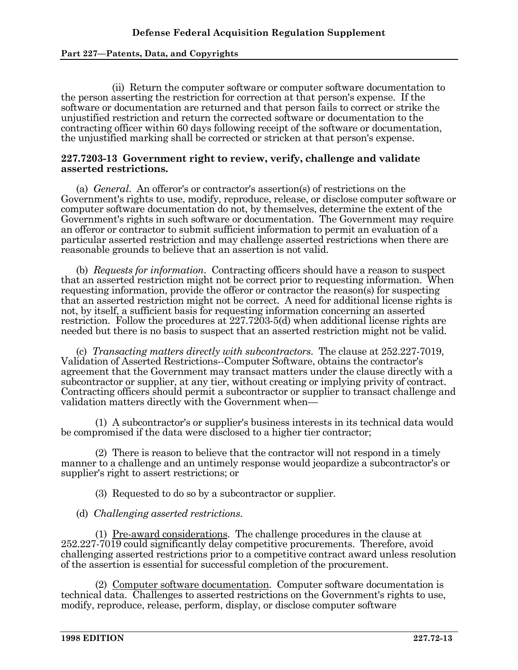(ii) Return the computer software or computer software documentation to the person asserting the restriction for correction at that person's expense. If the software or documentation are returned and that person fails to correct or strike the unjustified restriction and return the corrected software or documentation to the contracting officer within 60 days following receipt of the software or documentation, the unjustified marking shall be corrected or stricken at that person's expense.

#### **227.7203-13 Government right to review, verify, challenge and validate asserted restrictions.**

 (a) *General*. An offeror's or contractor's assertion(s) of restrictions on the Government's rights to use, modify, reproduce, release, or disclose computer software or computer software documentation do not, by themselves, determine the extent of the Government's rights in such software or documentation. The Government may require an offeror or contractor to submit sufficient information to permit an evaluation of a particular asserted restriction and may challenge asserted restrictions when there are reasonable grounds to believe that an assertion is not valid.

 (b) *Requests for information*. Contracting officers should have a reason to suspect that an asserted restriction might not be correct prior to requesting information. When requesting information, provide the offeror or contractor the reason(s) for suspecting that an asserted restriction might not be correct. A need for additional license rights is not, by itself, a sufficient basis for requesting information concerning an asserted restriction. Follow the procedures at 227.7203-5(d) when additional license rights are needed but there is no basis to suspect that an asserted restriction might not be valid.

 (c) *Transacting matters directly with subcontractors*. The clause at 252.227-7019, Validation of Asserted Restrictions--Computer Software, obtains the contractor's agreement that the Government may transact matters under the clause directly with a subcontractor or supplier, at any tier, without creating or implying privity of contract. Contracting officers should permit a subcontractor or supplier to transact challenge and validation matters directly with the Government when—

 (1) A subcontractor's or supplier's business interests in its technical data would be compromised if the data were disclosed to a higher tier contractor;

 (2) There is reason to believe that the contractor will not respond in a timely manner to a challenge and an untimely response would jeopardize a subcontractor's or supplier's right to assert restrictions; or

(3) Requested to do so by a subcontractor or supplier.

# (d) *Challenging asserted restrictions*.

 (1) Pre-award considerations. The challenge procedures in the clause at 252.227-7019 could significantly delay competitive procurements. Therefore, avoid challenging asserted restrictions prior to a competitive contract award unless resolution of the assertion is essential for successful completion of the procurement.

 (2) Computer software documentation. Computer software documentation is technical data. Challenges to asserted restrictions on the Government's rights to use, modify, reproduce, release, perform, display, or disclose computer software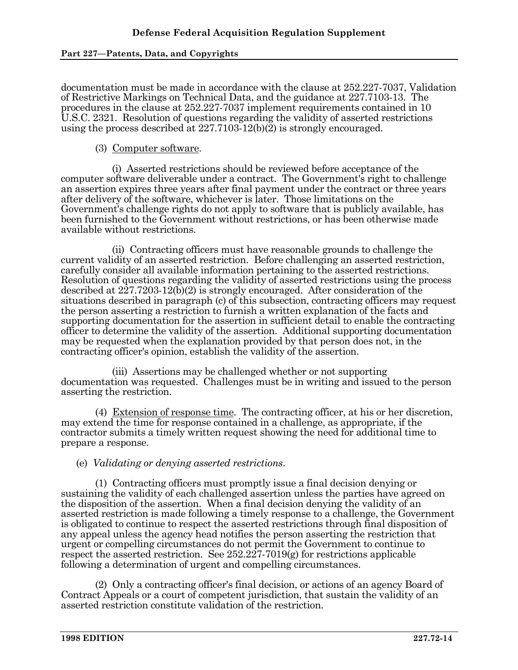documentation must be made in accordance with the clause at 252.227-7037, Validation of Restrictive Markings on Technical Data, and the guidance at 227.7103-13. The procedures in the clause at 252.227-7037 implement requirements contained in 10 U.S.C. 2321. Resolution of questions regarding the validity of asserted restrictions using the process described at 227.7103-12(b)(2) is strongly encouraged.

### (3) Computer software.

 (i) Asserted restrictions should be reviewed before acceptance of the computer software deliverable under a contract. The Government's right to challenge an assertion expires three years after final payment under the contract or three years after delivery of the software, whichever is later. Those limitations on the Government's challenge rights do not apply to software that is publicly available, has been furnished to the Government without restrictions, or has been otherwise made available without restrictions.

 (ii) Contracting officers must have reasonable grounds to challenge the current validity of an asserted restriction. Before challenging an asserted restriction, carefully consider all available information pertaining to the asserted restrictions. Resolution of questions regarding the validity of asserted restrictions using the process described at 227.7203-12(b)(2) is strongly encouraged. After consideration of the situations described in paragraph (c) of this subsection, contracting officers may request the person asserting a restriction to furnish a written explanation of the facts and supporting documentation for the assertion in sufficient detail to enable the contracting officer to determine the validity of the assertion. Additional supporting documentation may be requested when the explanation provided by that person does not, in the contracting officer's opinion, establish the validity of the assertion.

 (iii) Assertions may be challenged whether or not supporting documentation was requested. Challenges must be in writing and issued to the person asserting the restriction.

 (4) Extension of response time. The contracting officer, at his or her discretion, may extend the time for response contained in a challenge, as appropriate, if the contractor submits a timely written request showing the need for additional time to prepare a response.

(e) *Validating or denying asserted restrictions*.

 (1) Contracting officers must promptly issue a final decision denying or sustaining the validity of each challenged assertion unless the parties have agreed on the disposition of the assertion. When a final decision denying the validity of an asserted restriction is made following a timely response to a challenge, the Government is obligated to continue to respect the asserted restrictions through final disposition of any appeal unless the agency head notifies the person asserting the restriction that urgent or compelling circumstances do not permit the Government to continue to respect the asserted restriction. See 252.227-7019(g) for restrictions applicable following a determination of urgent and compelling circumstances.

 (2) Only a contracting officer's final decision, or actions of an agency Board of Contract Appeals or a court of competent jurisdiction, that sustain the validity of an asserted restriction constitute validation of the restriction.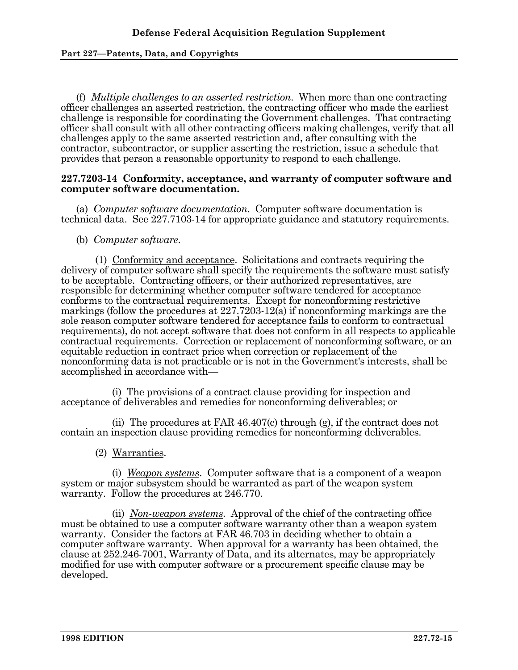(f) *Multiple challenges to an asserted restriction*. When more than one contracting officer challenges an asserted restriction, the contracting officer who made the earliest challenge is responsible for coordinating the Government challenges. That contracting officer shall consult with all other contracting officers making challenges, verify that all challenges apply to the same asserted restriction and, after consulting with the contractor, subcontractor, or supplier asserting the restriction, issue a schedule that provides that person a reasonable opportunity to respond to each challenge.

#### **227.7203-14 Conformity, acceptance, and warranty of computer software and computer software documentation.**

 (a) *Computer software documentation*. Computer software documentation is technical data. See 227.7103-14 for appropriate guidance and statutory requirements.

### (b) *Computer software*.

 (1) Conformity and acceptance. Solicitations and contracts requiring the delivery of computer software shall specify the requirements the software must satisfy to be acceptable. Contracting officers, or their authorized representatives, are responsible for determining whether computer software tendered for acceptance conforms to the contractual requirements. Except for nonconforming restrictive markings (follow the procedures at 227.7203-12(a) if nonconforming markings are the sole reason computer software tendered for acceptance fails to conform to contractual requirements), do not accept software that does not conform in all respects to applicable contractual requirements. Correction or replacement of nonconforming software, or an equitable reduction in contract price when correction or replacement of the nonconforming data is not practicable or is not in the Government's interests, shall be accomplished in accordance with—

 (i) The provisions of a contract clause providing for inspection and acceptance of deliverables and remedies for nonconforming deliverables; or

 (ii) The procedures at FAR 46.407(c) through (g), if the contract does not contain an inspection clause providing remedies for nonconforming deliverables.

# (2) Warranties.

 (i) *Weapon systems*. Computer software that is a component of a weapon system or major subsystem should be warranted as part of the weapon system warranty. Follow the procedures at 246.770.

 (ii) *Non-weapon systems*. Approval of the chief of the contracting office must be obtained to use a computer software warranty other than a weapon system warranty. Consider the factors at FAR 46.703 in deciding whether to obtain a computer software warranty. When approval for a warranty has been obtained, the clause at 252.246-7001, Warranty of Data, and its alternates, may be appropriately modified for use with computer software or a procurement specific clause may be developed.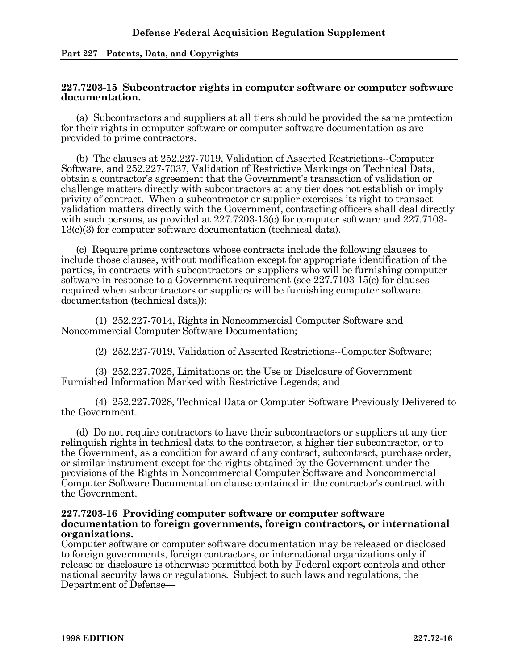### **227.7203-15 Subcontractor rights in computer software or computer software documentation.**

 (a) Subcontractors and suppliers at all tiers should be provided the same protection for their rights in computer software or computer software documentation as are provided to prime contractors.

 (b) The clauses at 252.227-7019, Validation of Asserted Restrictions--Computer Software, and 252.227-7037, Validation of Restrictive Markings on Technical Data, obtain a contractor's agreement that the Government's transaction of validation or challenge matters directly with subcontractors at any tier does not establish or imply privity of contract. When a subcontractor or supplier exercises its right to transact validation matters directly with the Government, contracting officers shall deal directly with such persons, as provided at  $227.7203-13(c)$  for computer software and  $227.7103-$ 13(c)(3) for computer software documentation (technical data).

 (c) Require prime contractors whose contracts include the following clauses to include those clauses, without modification except for appropriate identification of the parties, in contracts with subcontractors or suppliers who will be furnishing computer software in response to a Government requirement (see 227.7103-15(c) for clauses required when subcontractors or suppliers will be furnishing computer software documentation (technical data)):

 (1) 252.227-7014, Rights in Noncommercial Computer Software and Noncommercial Computer Software Documentation;

(2) 252.227-7019, Validation of Asserted Restrictions--Computer Software;

 (3) 252.227.7025, Limitations on the Use or Disclosure of Government Furnished Information Marked with Restrictive Legends; and

 (4) 252.227.7028, Technical Data or Computer Software Previously Delivered to the Government.

 (d) Do not require contractors to have their subcontractors or suppliers at any tier relinquish rights in technical data to the contractor, a higher tier subcontractor, or to the Government, as a condition for award of any contract, subcontract, purchase order, or similar instrument except for the rights obtained by the Government under the provisions of the Rights in Noncommercial Computer Software and Noncommercial Computer Software Documentation clause contained in the contractor's contract with the Government.

#### **227.7203-16 Providing computer software or computer software documentation to foreign governments, foreign contractors, or international organizations.**

Computer software or computer software documentation may be released or disclosed to foreign governments, foreign contractors, or international organizations only if release or disclosure is otherwise permitted both by Federal export controls and other national security laws or regulations. Subject to such laws and regulations, the Department of Defense—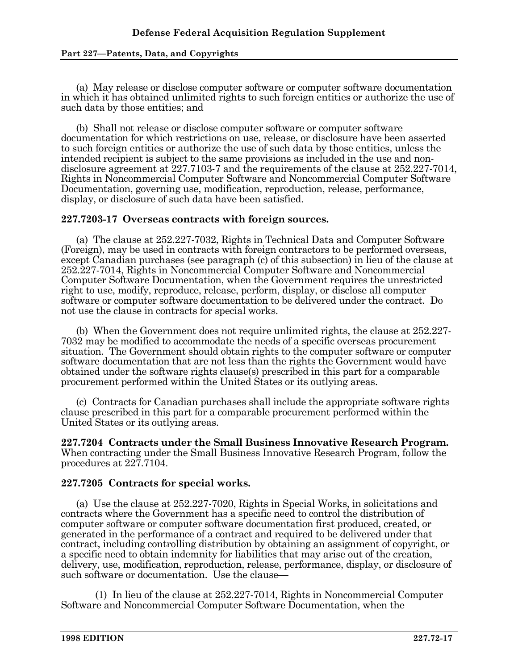(a) May release or disclose computer software or computer software documentation in which it has obtained unlimited rights to such foreign entities or authorize the use of such data by those entities; and

 (b) Shall not release or disclose computer software or computer software documentation for which restrictions on use, release, or disclosure have been asserted to such foreign entities or authorize the use of such data by those entities, unless the intended recipient is subject to the same provisions as included in the use and nondisclosure agreement at 227.7103-7 and the requirements of the clause at 252.227-7014, Rights in Noncommercial Computer Software and Noncommercial Computer Software Documentation, governing use, modification, reproduction, release, performance, display, or disclosure of such data have been satisfied.

### **227.7203-17 Overseas contracts with foreign sources.**

 (a) The clause at 252.227-7032, Rights in Technical Data and Computer Software (Foreign), may be used in contracts with foreign contractors to be performed overseas, except Canadian purchases (see paragraph (c) of this subsection) in lieu of the clause at 252.227-7014, Rights in Noncommercial Computer Software and Noncommercial Computer Software Documentation, when the Government requires the unrestricted right to use, modify, reproduce, release, perform, display, or disclose all computer software or computer software documentation to be delivered under the contract. Do not use the clause in contracts for special works.

 (b) When the Government does not require unlimited rights, the clause at 252.227- 7032 may be modified to accommodate the needs of a specific overseas procurement situation. The Government should obtain rights to the computer software or computer software documentation that are not less than the rights the Government would have obtained under the software rights clause(s) prescribed in this part for a comparable procurement performed within the United States or its outlying areas.

 (c) Contracts for Canadian purchases shall include the appropriate software rights clause prescribed in this part for a comparable procurement performed within the United States or its outlying areas.

**227.7204 Contracts under the Small Business Innovative Research Program.**  When contracting under the Small Business Innovative Research Program, follow the procedures at 227.7104.

# **227.7205 Contracts for special works.**

 (a) Use the clause at 252.227-7020, Rights in Special Works, in solicitations and contracts where the Government has a specific need to control the distribution of computer software or computer software documentation first produced, created, or generated in the performance of a contract and required to be delivered under that contract, including controlling distribution by obtaining an assignment of copyright, or a specific need to obtain indemnity for liabilities that may arise out of the creation, delivery, use, modification, reproduction, release, performance, display, or disclosure of such software or documentation. Use the clause—

 (1) In lieu of the clause at 252.227-7014, Rights in Noncommercial Computer Software and Noncommercial Computer Software Documentation, when the